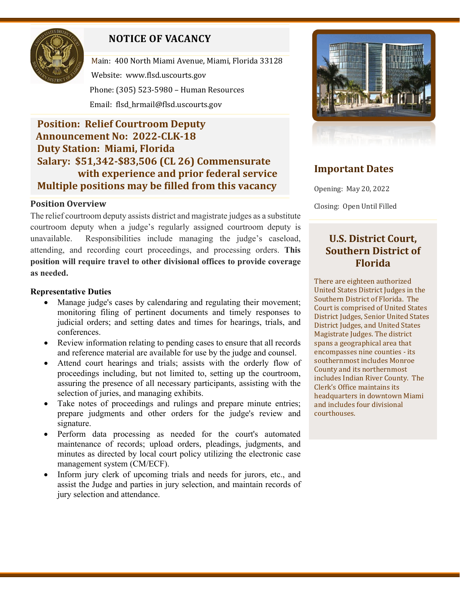

# **NOTICE OF VACANCY**

Main: 400 North Miami Avenue, Miami, Florida 33128 Website: [www.flsd.uscourts.gov](http://www.flsd.uscourts.gov/) Phone: (305) 523-5980 – Human Resources Email: flsd\_hrmail@flsd.uscourts.gov

## **Position: Relief Courtroom Deputy Announcement No: 2022-CLK-18 Duty Station: Miami, Florida Salary: \$51,342-\$83,506 (CL 26) Commensurate with experience and prior federal service Multiple positions may be filled from this vacancy**

## **Position Overview**

The relief courtroom deputy assists district and magistrate judges as a substitute courtroom deputy when a judge's regularly assigned courtroom deputy is unavailable. Responsibilities include managing the judge's caseload, attending, and recording court proceedings, and processing orders. **This position will require travel to other divisional offices to provide coverage as needed.**

## **Representative Duties**

- Manage judge's cases by calendaring and regulating their movement; monitoring filing of pertinent documents and timely responses to judicial orders; and setting dates and times for hearings, trials, and conferences.
- Review information relating to pending cases to ensure that all records and reference material are available for use by the judge and counsel.
- Attend court hearings and trials; assists with the orderly flow of proceedings including, but not limited to, setting up the courtroom, assuring the presence of all necessary participants, assisting with the selection of juries, and managing exhibits.
- Take notes of proceedings and rulings and prepare minute entries; prepare judgments and other orders for the judge's review and signature.
- Perform data processing as needed for the court's automated maintenance of records; upload orders, pleadings, judgments, and minutes as directed by local court policy utilizing the electronic case management system (CM/ECF).
- Inform jury clerk of upcoming trials and needs for jurors, etc., and assist the Judge and parties in jury selection, and maintain records of jury selection and attendance.



## **Important Dates**

Opening: May 20, 2022

Closing: Open Until Filled

## **U.S. District Court, Southern District of Florida**

There are eighteen authorized United States District Judges in the Southern District of Florida. The Court is comprised of United States District Judges, Senior United States District Judges, and United States Magistrate Judges. The district spans a geographical area that encompasses nine counties - its southernmost includes Monroe County and its northernmost includes Indian River County. The Clerk's Office maintains its headquarters in downtown Miami and includes four divisional courthouses.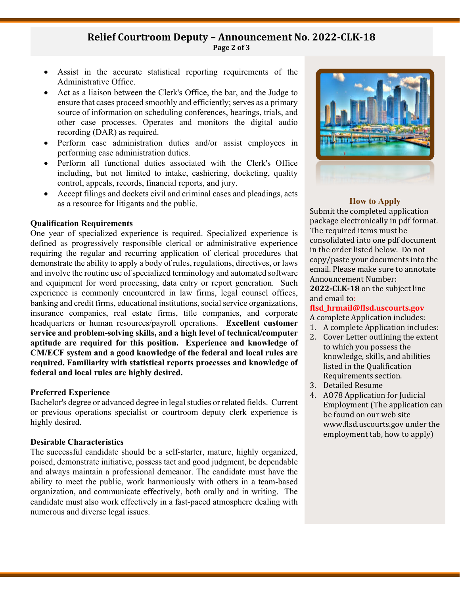## **Relief Courtroom Deputy – Announcement No. 2022-CLK-18 Page 2 of 3**

- Assist in the accurate statistical reporting requirements of the Administrative Office.
- Act as a liaison between the Clerk's Office, the bar, and the Judge to ensure that cases proceed smoothly and efficiently; serves as a primary source of information on scheduling conferences, hearings, trials, and other case processes. Operates and monitors the digital audio recording (DAR) as required.
- Perform case administration duties and/or assist employees in performing case administration duties.
- Perform all functional duties associated with the Clerk's Office including, but not limited to intake, cashiering, docketing, quality control, appeals, records, financial reports, and jury.
- Accept filings and dockets civil and criminal cases and pleadings, acts as a resource for litigants and the public.

#### **Qualification Requirements**

One year of specialized experience is required. Specialized experience is defined as progressively responsible clerical or administrative experience requiring the regular and recurring application of clerical procedures that demonstrate the ability to apply a body of rules, regulations, directives, or laws and involve the routine use of specialized terminology and automated software and equipment for word processing, data entry or report generation. Such experience is commonly encountered in law firms, legal counsel offices, banking and credit firms, educational institutions, social service organizations, insurance companies, real estate firms, title companies, and corporate headquarters or human resources/payroll operations. **Excellent customer service and problem-solving skills, and a high level of technical/computer aptitude are required for this position. Experience and knowledge of CM/ECF system and a good knowledge of the federal and local rules are required. Familiarity with statistical reports processes and knowledge of federal and local rules are highly desired.**

#### **Preferred Experience**

Bachelor's degree or advanced degree in legal studies or related fields. Current or previous operations specialist or courtroom deputy clerk experience is highly desired.

#### **Desirable Characteristics**

The successful candidate should be a self-starter, mature, highly organized, poised, demonstrate initiative, possess tact and good judgment, be dependable and always maintain a professional demeanor. The candidate must have the ability to meet the public, work harmoniously with others in a team-based organization, and communicate effectively, both orally and in writing. The candidate must also work effectively in a fast-paced atmosphere dealing with numerous and diverse legal issues.



#### **How to Apply**

Submit the completed application package electronically in pdf format. The required items must be consolidated into one pdf document in the order listed below. Do not copy/paste your documents into the email. Please make sure to annotate Announcement Number:

**2022-CLK-18** on the subject line and email to:

#### **[flsd\\_hrmail@flsd.uscourts.gov](mailto:flsd_hrmail@flsd.uscourts.gov)**

A complete Application includes:

- 1. A complete Application includes:
- 2. Cover Letter outlining the extent to which you possess the knowledge, skills, and abilities listed in the Qualification Requirements section.
- 3. Detailed Resume
- 4. AO78 Application for Judicial Employment (The application can be found on our web site www.flsd.uscourts.gov under the employment tab, how to apply)